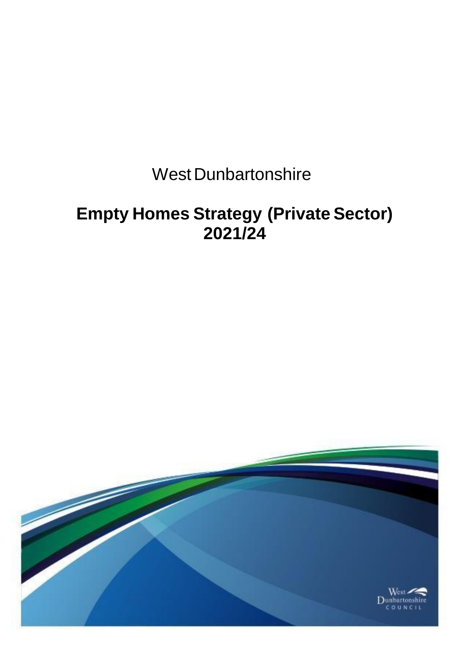# West Dunbartonshire

# **Empty Homes Strategy (Private Sector) 2021/24**

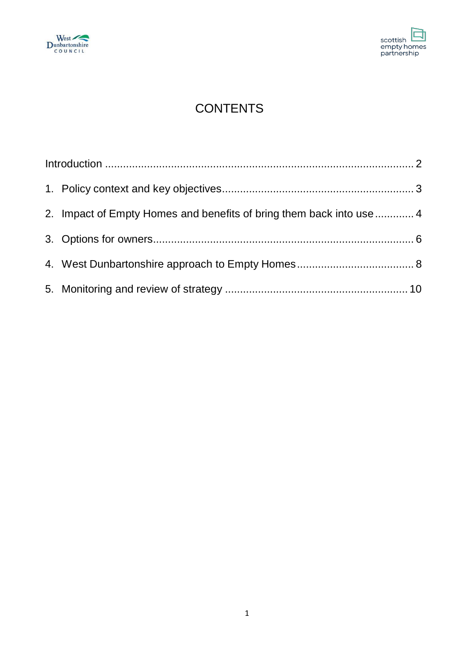



# **CONTENTS**

| 2. Impact of Empty Homes and benefits of bring them back into use  4 |  |
|----------------------------------------------------------------------|--|
|                                                                      |  |
|                                                                      |  |
|                                                                      |  |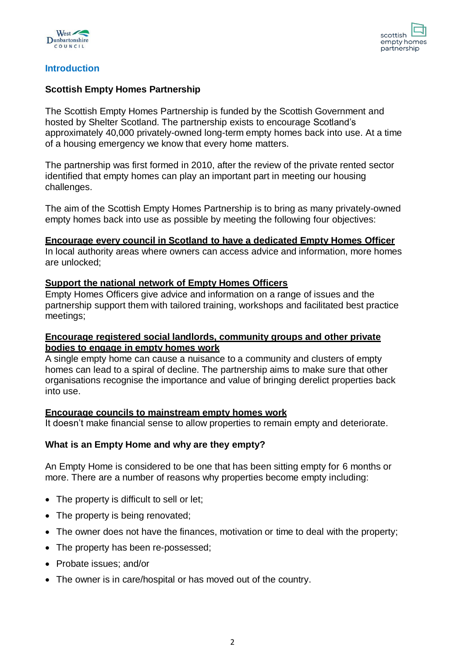



# <span id="page-2-0"></span>**Introduction**

# **Scottish Empty Homes Partnership**

The Scottish Empty Homes Partnership is funded by the Scottish Government and hosted by Shelter Scotland. The partnership exists to encourage Scotland's approximately 40,000 privately-owned long-term empty homes back into use. At a time of a housing emergency we know that every home matters.

The partnership was first formed in 2010, after the review of the private rented sector identified that empty homes can play an important part in meeting our housing challenges.

The aim of the Scottish Empty Homes Partnership is to bring as many privately-owned empty homes back into use as possible by meeting the following four objectives:

#### **Encourage every council in Scotland to have a dedicated Empty Homes Officer**

In local authority areas where owners can access advice and information, more homes are unlocked;

### **Support the national network of Empty Homes Officers**

Empty Homes Officers give advice and information on a range of issues and the partnership support them with tailored training, workshops and facilitated best practice meetings;

# **Encourage registered social landlords, community groups and other private bodies to engage in empty homes work**

A single empty home can cause a nuisance to a community and clusters of empty homes can lead to a spiral of decline. The partnership aims to make sure that other organisations recognise the importance and value of bringing derelict properties back into use.

### **Encourage councils to mainstream empty homes work**

It doesn't make financial sense to allow properties to remain empty and deteriorate.

### **What is an Empty Home and why are they empty?**

An Empty Home is considered to be one that has been sitting empty for 6 months or more. There are a number of reasons why properties become empty including:

- The property is difficult to sell or let:
- The property is being renovated;
- The owner does not have the finances, motivation or time to deal with the property;
- The property has been re-possessed;
- Probate issues; and/or
- The owner is in care/hospital or has moved out of the country.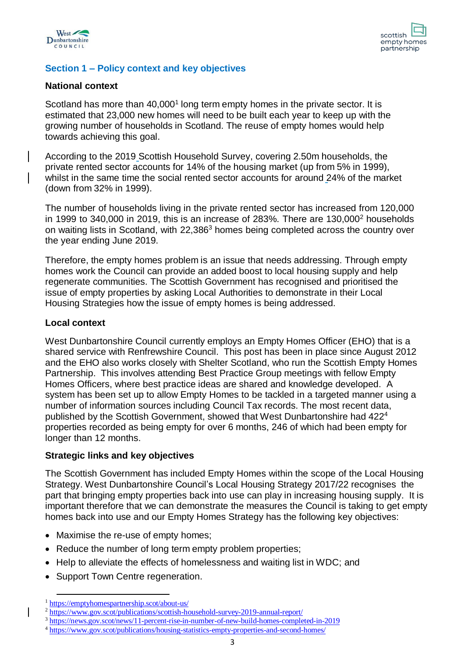



# **Section 1 – Policy context and key objectives**

# **National context**

Scotland has more than 40,000<sup>1</sup> long term empty homes in the private sector. It is estimated that 23,000 new homes will need to be built each year to keep up with the growing number of households in Scotland. The reuse of empty homes would help towards achieving this goal.

According to the 2019 Scottish Household Survey, covering 2.50m households, the private rented sector accounts for 14% of the housing market (up from 5% in 1999), whilst in the same time the social rented sector accounts for around 24% of the market (down from 32% in 1999).

The number of households living in the private rented sector has increased from 120,000 in 1999 to 340,000 in 2019, this is an increase of 283%. There are  $130,000^2$  households on waiting lists in Scotland, with 22,386<sup>3</sup> homes being completed across the country over the year ending June 2019.

Therefore, the empty homes problem is an issue that needs addressing. Through empty homes work the Council can provide an added boost to local housing supply and help regenerate communities. The Scottish Government has recognised and prioritised the issue of empty properties by asking Local Authorities to demonstrate in their Local Housing Strategies how the issue of empty homes is being addressed.

# **Local context**

West Dunbartonshire Council currently employs an Empty Homes Officer (EHO) that is a shared service with Renfrewshire Council. This post has been in place since August 2012 and the EHO also works closely with Shelter Scotland, who run the Scottish Empty Homes Partnership. This involves attending Best Practice Group meetings with fellow Empty Homes Officers, where best practice ideas are shared and knowledge developed. A system has been set up to allow Empty Homes to be tackled in a targeted manner using a number of information sources including Council Tax records. The most recent data, published by the Scottish Government, showed that West Dunbartonshire had 422<sup>4</sup> properties recorded as being empty for over 6 months, 246 of which had been empty for longer than 12 months.

### **Strategic links and key objectives**

The Scottish Government has included Empty Homes within the scope of the Local Housing Strategy. West Dunbartonshire Council's Local Housing Strategy 2017/22 recognises the part that bringing empty properties back into use can play in increasing housing supply. It is important therefore that we can demonstrate the measures the Council is taking to get empty homes back into use and our Empty Homes Strategy has the following key objectives:

- Maximise the re-use of empty homes;
- Reduce the number of long term empty problem properties;
- Help to alleviate the effects of homelessness and waiting list in WDC; and
- Support Town Centre regeneration.

<sup>1</sup> <https://emptyhomespartnership.scot/about-us/>

<sup>&</sup>lt;sup>2</sup> <https://www.gov.scot/publications/scottish-household-survey-2019-annual-report/>

<sup>&</sup>lt;sup>3</sup> <https://news.gov.scot/news/11-percent-rise-in-number-of-new-build-homes-completed-in-2019>

<sup>4</sup> <https://www.gov.scot/publications/housing-statistics-empty-properties-and-second-homes/>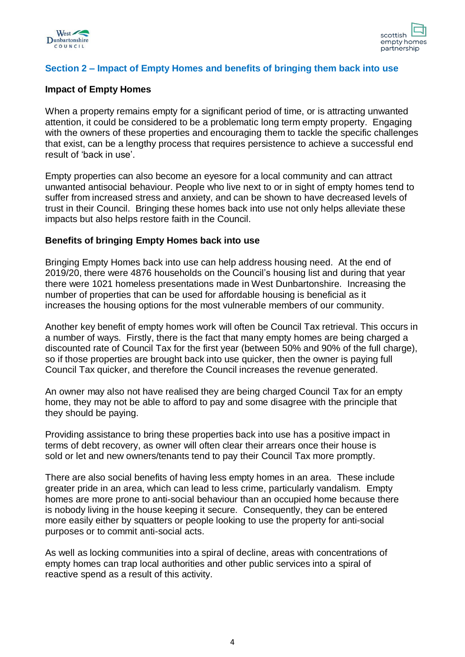



# **Section 2 – Impact of Empty Homes and benefits of bringing them back into use**

### **Impact of Empty Homes**

When a property remains empty for a significant period of time, or is attracting unwanted attention, it could be considered to be a problematic long term empty property. Engaging with the owners of these properties and encouraging them to tackle the specific challenges that exist, can be a lengthy process that requires persistence to achieve a successful end result of 'back in use'.

Empty properties can also become an eyesore for a local community and can attract unwanted antisocial behaviour. People who live next to or in sight of empty homes tend to suffer from increased stress and anxiety, and can be shown to have decreased levels of trust in their Council. Bringing these homes back into use not only helps alleviate these impacts but also helps restore faith in the Council.

# **Benefits of bringing Empty Homes back into use**

Bringing Empty Homes back into use can help address housing need. At the end of 2019/20, there were 4876 households on the Council's housing list and during that year there were 1021 homeless presentations made in West Dunbartonshire. Increasing the number of properties that can be used for affordable housing is beneficial as it increases the housing options for the most vulnerable members of our community.

Another key benefit of empty homes work will often be Council Tax retrieval. This occurs in a number of ways. Firstly, there is the fact that many empty homes are being charged a discounted rate of Council Tax for the first year (between 50% and 90% of the full charge), so if those properties are brought back into use quicker, then the owner is paying full Council Tax quicker, and therefore the Council increases the revenue generated.

An owner may also not have realised they are being charged Council Tax for an empty home, they may not be able to afford to pay and some disagree with the principle that they should be paying.

Providing assistance to bring these properties back into use has a positive impact in terms of debt recovery, as owner will often clear their arrears once their house is sold or let and new owners/tenants tend to pay their Council Tax more promptly.

There are also social benefits of having less empty homes in an area. These include greater pride in an area, which can lead to less crime, particularly vandalism. Empty homes are more prone to anti-social behaviour than an occupied home because there is nobody living in the house keeping it secure. Consequently, they can be entered more easily either by squatters or people looking to use the property for anti-social purposes or to commit anti-social acts.

As well as locking communities into a spiral of decline, areas with concentrations of empty homes can trap local authorities and other public services into a spiral of reactive spend as a result of this activity.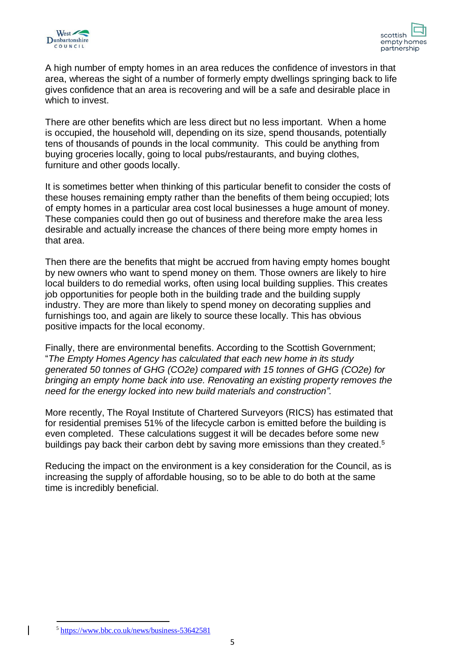



A high number of empty homes in an area reduces the confidence of investors in that area, whereas the sight of a number of formerly empty dwellings springing back to life gives confidence that an area is recovering and will be a safe and desirable place in which to invest.

There are other benefits which are less direct but no less important. When a home is occupied, the household will, depending on its size, spend thousands, potentially tens of thousands of pounds in the local community. This could be anything from buying groceries locally, going to local pubs/restaurants, and buying clothes, furniture and other goods locally.

It is sometimes better when thinking of this particular benefit to consider the costs of these houses remaining empty rather than the benefits of them being occupied; lots of empty homes in a particular area cost local businesses a huge amount of money. These companies could then go out of business and therefore make the area less desirable and actually increase the chances of there being more empty homes in that area.

Then there are the benefits that might be accrued from having empty homes bought by new owners who want to spend money on them. Those owners are likely to hire local builders to do remedial works, often using local building supplies. This creates job opportunities for people both in the building trade and the building supply industry. They are more than likely to spend money on decorating supplies and furnishings too, and again are likely to source these locally. This has obvious positive impacts for the local economy.

Finally, there are environmental benefits. According to the Scottish Government; "*The Empty Homes Agency has calculated that each new home in its study generated 50 tonnes of GHG (CO2e) compared with 15 tonnes of GHG (CO2e) for bringing an empty home back into use. Renovating an existing property removes the need for the energy locked into new build materials and construction".*

More recently, The Royal Institute of Chartered Surveyors (RICS) has estimated that for residential premises 51% of the lifecycle carbon is emitted before the building is even completed. These calculations suggest it will be decades before some new buildings pay back their carbon debt by saving more emissions than they created.<sup>5</sup>

Reducing the impact on the environment is a key consideration for the Council, as is increasing the supply of affordable housing, so to be able to do both at the same time is incredibly beneficial.

<sup>5</sup> <https://www.bbc.co.uk/news/business-53642581>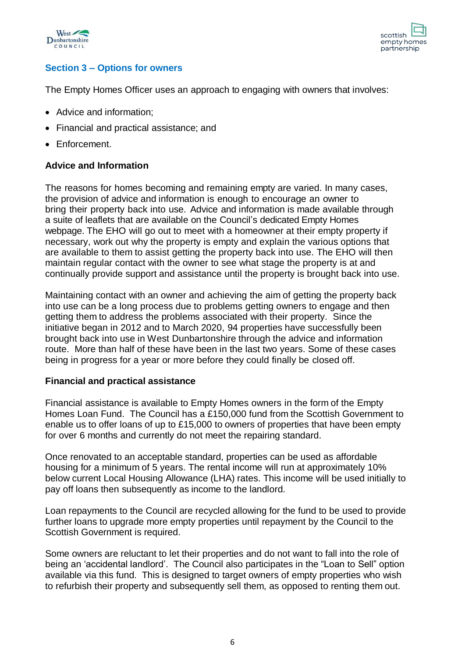



# **Section 3 – Options for owners**

The Empty Homes Officer uses an approach to engaging with owners that involves:

- Advice and information:
- Financial and practical assistance; and
- Enforcement.

# **Advice and Information**

The reasons for homes becoming and remaining empty are varied. In many cases, the provision of advice and information is enough to encourage an owner to bring their property back into use. Advice and information is made available through a suite of leaflets that are available on the Council's dedicated Empty Homes webpage. The EHO will go out to meet with a homeowner at their empty property if necessary, work out why the property is empty and explain the various options that are available to them to assist getting the property back into use. The EHO will then maintain regular contact with the owner to see what stage the property is at and continually provide support and assistance until the property is brought back into use.

Maintaining contact with an owner and achieving the aim of getting the property back into use can be a long process due to problems getting owners to engage and then getting them to address the problems associated with their property. Since the initiative began in 2012 and to March 2020, 94 properties have successfully been brought back into use in West Dunbartonshire through the advice and information route. More than half of these have been in the last two years. Some of these cases being in progress for a year or more before they could finally be closed off.

# **Financial and practical assistance**

Financial assistance is available to Empty Homes owners in the form of the Empty Homes Loan Fund. The Council has a £150,000 fund from the Scottish Government to enable us to offer loans of up to £15,000 to owners of properties that have been empty for over 6 months and currently do not meet the repairing standard.

Once renovated to an acceptable standard, properties can be used as affordable housing for a minimum of 5 years. The rental income will run at approximately 10% below current Local Housing Allowance (LHA) rates. This income will be used initially to pay off loans then subsequently as income to the landlord.

Loan repayments to the Council are recycled allowing for the fund to be used to provide further loans to upgrade more empty properties until repayment by the Council to the Scottish Government is required.

Some owners are reluctant to let their properties and do not want to fall into the role of being an 'accidental landlord'. The Council also participates in the "Loan to Sell" option available via this fund. This is designed to target owners of empty properties who wish to refurbish their property and subsequently sell them, as opposed to renting them out.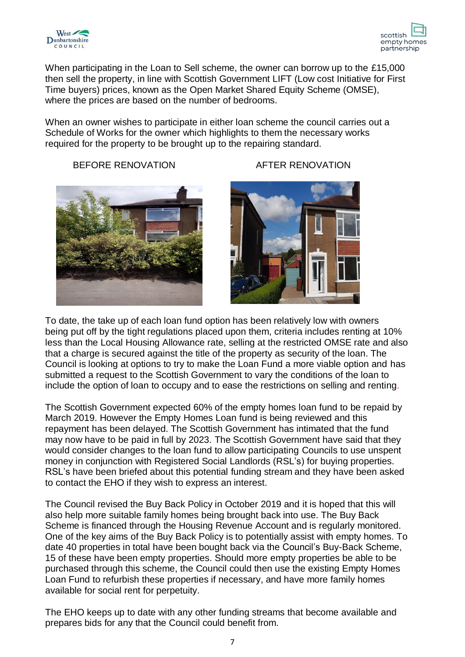



When participating in the Loan to Sell scheme, the owner can borrow up to the £15,000 then sell the property, in line with Scottish Government LIFT (Low cost Initiative for First Time buyers) prices, known as the Open Market Shared Equity Scheme (OMSE), where the prices are based on the number of bedrooms.

When an owner wishes to participate in either loan scheme the council carries out a Schedule of Works for the owner which highlights to them the necessary works required for the property to be brought up to the repairing standard.

BEFORE RENOVATION AFTER RENOVATION





To date, the take up of each loan fund option has been relatively low with owners being put off by the tight regulations placed upon them, criteria includes renting at 10% less than the Local Housing Allowance rate, selling at the restricted OMSE rate and also that a charge is secured against the title of the property as security of the loan. The Council is looking at options to try to make the Loan Fund a more viable option and has submitted a request to the Scottish Government to vary the conditions of the loan to include the option of loan to occupy and to ease the restrictions on selling and renting.

The Scottish Government expected 60% of the empty homes loan fund to be repaid by March 2019. However the Empty Homes Loan fund is being reviewed and this repayment has been delayed. The Scottish Government has intimated that the fund may now have to be paid in full by 2023. The Scottish Government have said that they would consider changes to the loan fund to allow participating Councils to use unspent money in conjunction with Registered Social Landlords (RSL's) for buying properties. RSL's have been briefed about this potential funding stream and they have been asked to contact the EHO if they wish to express an interest.

The Council revised the Buy Back Policy in October 2019 and it is hoped that this will also help more suitable family homes being brought back into use. The Buy Back Scheme is financed through the Housing Revenue Account and is regularly monitored. One of the key aims of the Buy Back Policy is to potentially assist with empty homes. To date 40 properties in total have been bought back via the Council's Buy-Back Scheme, 15 of these have been empty properties. Should more empty properties be able to be purchased through this scheme, the Council could then use the existing Empty Homes Loan Fund to refurbish these properties if necessary, and have more family homes available for social rent for perpetuity.

The EHO keeps up to date with any other funding streams that become available and prepares bids for any that the Council could benefit from.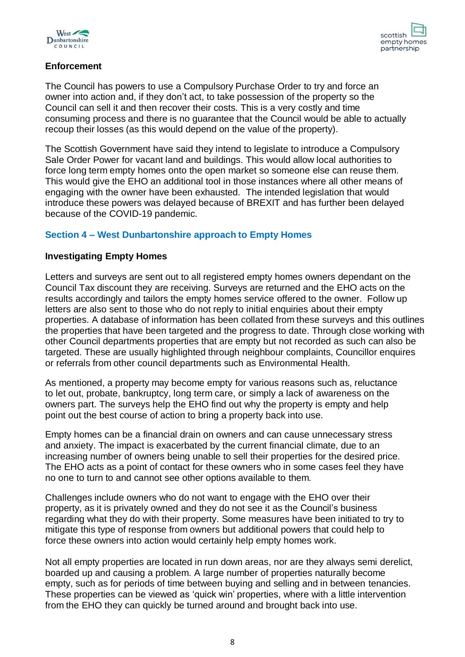



# **Enforcement**

The Council has powers to use a Compulsory Purchase Order to try and force an owner into action and, if they don't act, to take possession of the property so the Council can sell it and then recover their costs. This is a very costly and time consuming process and there is no guarantee that the Council would be able to actually recoup their losses (as this would depend on the value of the property).

The Scottish Government have said they intend to legislate to introduce a Compulsory Sale Order Power for vacant land and buildings. This would allow local authorities to force long term empty homes onto the open market so someone else can reuse them. This would give the EHO an additional tool in those instances where all other means of engaging with the owner have been exhausted. The intended legislation that would introduce these powers was delayed because of BREXIT and has further been delayed because of the COVID-19 pandemic.

# **Section 4 – West Dunbartonshire approach to Empty Homes**

# **Investigating Empty Homes**

Letters and surveys are sent out to all registered empty homes owners dependant on the Council Tax discount they are receiving. Surveys are returned and the EHO acts on the results accordingly and tailors the empty homes service offered to the owner. Follow up letters are also sent to those who do not reply to initial enquiries about their empty properties. A database of information has been collated from these surveys and this outlines the properties that have been targeted and the progress to date. Through close working with other Council departments properties that are empty but not recorded as such can also be targeted. These are usually highlighted through neighbour complaints, Councillor enquires or referrals from other council departments such as Environmental Health.

As mentioned, a property may become empty for various reasons such as, reluctance to let out, probate, bankruptcy, long term care, or simply a lack of awareness on the owners part. The surveys help the EHO find out why the property is empty and help point out the best course of action to bring a property back into use.

Empty homes can be a financial drain on owners and can cause unnecessary stress and anxiety. The impact is exacerbated by the current financial climate, due to an increasing number of owners being unable to sell their properties for the desired price. The EHO acts as a point of contact for these owners who in some cases feel they have no one to turn to and cannot see other options available to them.

Challenges include owners who do not want to engage with the EHO over their property, as it is privately owned and they do not see it as the Council's business regarding what they do with their property. Some measures have been initiated to try to mitigate this type of response from owners but additional powers that could help to force these owners into action would certainly help empty homes work.

Not all empty properties are located in run down areas, nor are they always semi derelict, boarded up and causing a problem. A large number of properties naturally become empty, such as for periods of time between buying and selling and in between tenancies. These properties can be viewed as 'quick win' properties, where with a little intervention from the EHO they can quickly be turned around and brought back into use.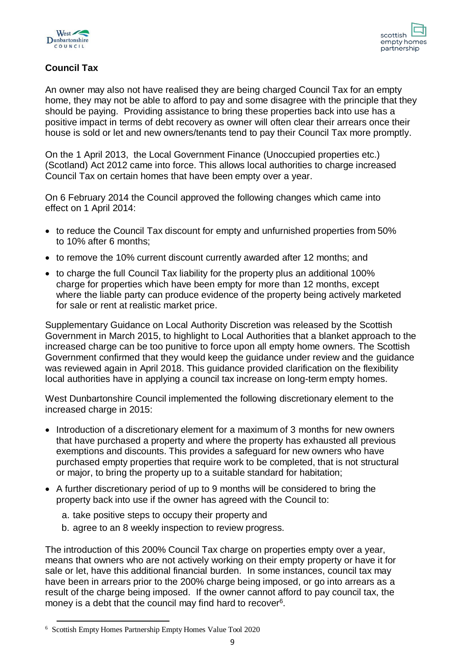



# **Council Tax**

An owner may also not have realised they are being charged Council Tax for an empty home, they may not be able to afford to pay and some disagree with the principle that they should be paying. Providing assistance to bring these properties back into use has a positive impact in terms of debt recovery as owner will often clear their arrears once their house is sold or let and new owners/tenants tend to pay their Council Tax more promptly.

On the 1 April 2013, the Local Government Finance (Unoccupied properties etc.) (Scotland) Act 2012 came into force. This allows local authorities to charge increased Council Tax on certain homes that have been empty over a year.

On 6 February 2014 the Council approved the following changes which came into effect on 1 April 2014:

- to reduce the Council Tax discount for empty and unfurnished properties from 50% to 10% after 6 months;
- to remove the 10% current discount currently awarded after 12 months; and
- to charge the full Council Tax liability for the property plus an additional 100% charge for properties which have been empty for more than 12 months, except where the liable party can produce evidence of the property being actively marketed for sale or rent at realistic market price.

Supplementary Guidance on Local Authority Discretion was released by the Scottish Government in March 2015, to highlight to Local Authorities that a blanket approach to the increased charge can be too punitive to force upon all empty home owners. The Scottish Government confirmed that they would keep the guidance under review and the guidance was reviewed again in April 2018. This guidance provided clarification on the flexibility local authorities have in applying a council tax increase on long-term empty homes.

West Dunbartonshire Council implemented the following discretionary element to the increased charge in 2015:

- Introduction of a discretionary element for a maximum of 3 months for new owners that have purchased a property and where the property has exhausted all previous exemptions and discounts. This provides a safeguard for new owners who have purchased empty properties that require work to be completed, that is not structural or major, to bring the property up to a suitable standard for habitation;
- A further discretionary period of up to 9 months will be considered to bring the property back into use if the owner has agreed with the Council to:
	- a. take positive steps to occupy their property and
	- b. agree to an 8 weekly inspection to review progress.

The introduction of this 200% Council Tax charge on properties empty over a year, means that owners who are not actively working on their empty property or have it for sale or let, have this additional financial burden. In some instances, council tax may have been in arrears prior to the 200% charge being imposed, or go into arrears as a result of the charge being imposed. If the owner cannot afford to pay council tax, the money is a debt that the council may find hard to recover<sup>6</sup>.

<sup>&</sup>lt;sup>6</sup> Scottish Empty Homes Partnership Empty Homes Value Tool 2020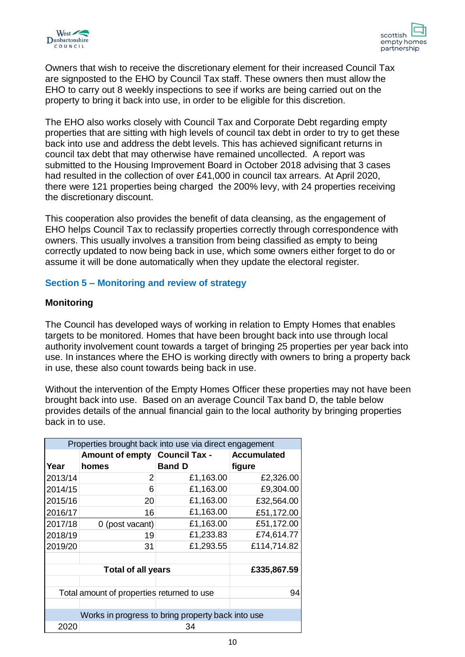

Owners that wish to receive the discretionary element for their increased Council Tax are signposted to the EHO by Council Tax staff. These owners then must allow the EHO to carry out 8 weekly inspections to see if works are being carried out on the property to bring it back into use, in order to be eligible for this discretion.

The EHO also works closely with Council Tax and Corporate Debt regarding empty properties that are sitting with high levels of council tax debt in order to try to get these back into use and address the debt levels. This has achieved significant returns in council tax debt that may otherwise have remained uncollected. A report was submitted to the Housing Improvement Board in October 2018 advising that 3 cases had resulted in the collection of over £41,000 in council tax arrears. At April 2020, there were 121 properties being charged the 200% levy, with 24 properties receiving the discretionary discount.

This cooperation also provides the benefit of data cleansing, as the engagement of EHO helps Council Tax to reclassify properties correctly through correspondence with owners. This usually involves a transition from being classified as empty to being correctly updated to now being back in use, which some owners either forget to do or assume it will be done automatically when they update the electoral register.

# **Section 5 – Monitoring and review of strategy**

# **Monitoring**

The Council has developed ways of working in relation to Empty Homes that enables targets to be monitored. Homes that have been brought back into use through local authority involvement count towards a target of bringing 25 properties per year back into use. In instances where the EHO is working directly with owners to bring a property back in use, these also count towards being back in use.

Without the intervention of the Empty Homes Officer these properties may not have been brought back into use. Based on an average Council Tax band D, the table below provides details of the annual financial gain to the local authority by bringing properties back in to use.

| Properties brought back into use via direct engagement |                                                   |               |                    |  |  |  |
|--------------------------------------------------------|---------------------------------------------------|---------------|--------------------|--|--|--|
|                                                        | Amount of empty Council Tax -                     |               | <b>Accumulated</b> |  |  |  |
| Year                                                   | homes                                             | <b>Band D</b> | figure             |  |  |  |
| 2013/14                                                | 2                                                 | £1,163.00     | £2,326.00          |  |  |  |
| 2014/15                                                | 6                                                 | £1,163.00     | £9,304.00          |  |  |  |
| 2015/16                                                | 20                                                | £1,163.00     | £32,564.00         |  |  |  |
| 2016/17                                                | 16                                                | £1,163.00     | £51,172.00         |  |  |  |
| 2017/18                                                | 0 (post vacant)                                   | £1,163.00     | £51,172.00         |  |  |  |
| 2018/19                                                | 19                                                | £1,233.83     | £74,614.77         |  |  |  |
| 2019/20                                                | 31                                                | £1,293.55     | £114,714.82        |  |  |  |
|                                                        |                                                   |               |                    |  |  |  |
|                                                        | <b>Total of all years</b>                         | £335,867.59   |                    |  |  |  |
|                                                        |                                                   |               |                    |  |  |  |
|                                                        | Total amount of properties returned to use        | 94            |                    |  |  |  |
|                                                        |                                                   |               |                    |  |  |  |
|                                                        | Works in progress to bring property back into use |               |                    |  |  |  |
| 2020                                                   | 34                                                |               |                    |  |  |  |